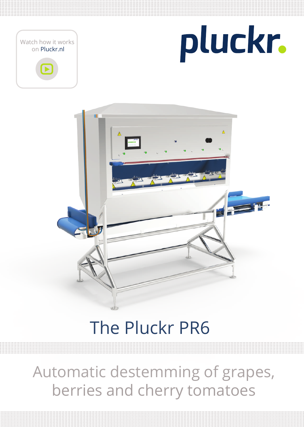





## The Pluckr PR6

Automatic destemming of grapes, berries and cherry tomatoes